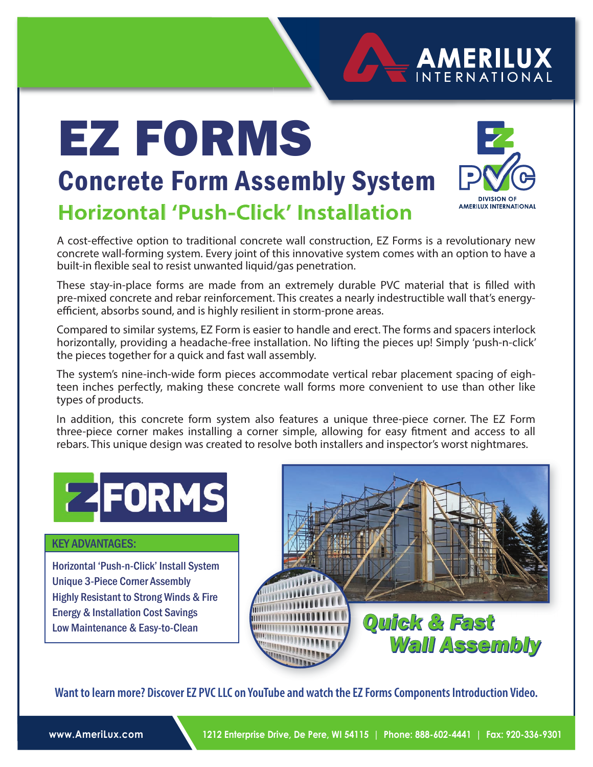# EZ FORMS



**AMERILUX INTERNATIONAL** 

### **Horizontal 'Push-Click' Installation** Concrete Form Assembly System

A cost-effective option to traditional concrete wall construction, EZ Forms is a revolutionary new concrete wall-forming system. Every joint of this innovative system comes with an option to have a built-in flexible seal to resist unwanted liquid/gas penetration.

These stay-in-place forms are made from an extremely durable PVC material that is filled with pre-mixed concrete and rebar reinforcement. This creates a nearly indestructible wall that's energyefficient, absorbs sound, and is highly resilient in storm-prone areas.

Compared to similar systems, EZ Form is easier to handle and erect. The forms and spacers interlock horizontally, providing a headache-free installation. No lifting the pieces up! Simply 'push-n-click' the pieces together for a quick and fast wall assembly.

The system's nine-inch-wide form pieces accommodate vertical rebar placement spacing of eighteen inches perfectly, making these concrete wall forms more convenient to use than other like types of products.

In addition, this concrete form system also features a unique three-piece corner. The EZ Form three-piece corner makes installing a corner simple, allowing for easy fitment and access to all rebars. This unique design was created to resolve both installers and inspector's worst nightmares.



Horizontal 'Push-n-Click' Install System Unique 3-Piece Corner Assembly Highly Resistant to Strong Winds & Fire Energy & Installation Cost Savings Low Maintenance & Easy-to-Clean



**Want to learn more? Discover EZ PVC LLC on YouTube and watch the EZ Forms Components Introduction Video.**